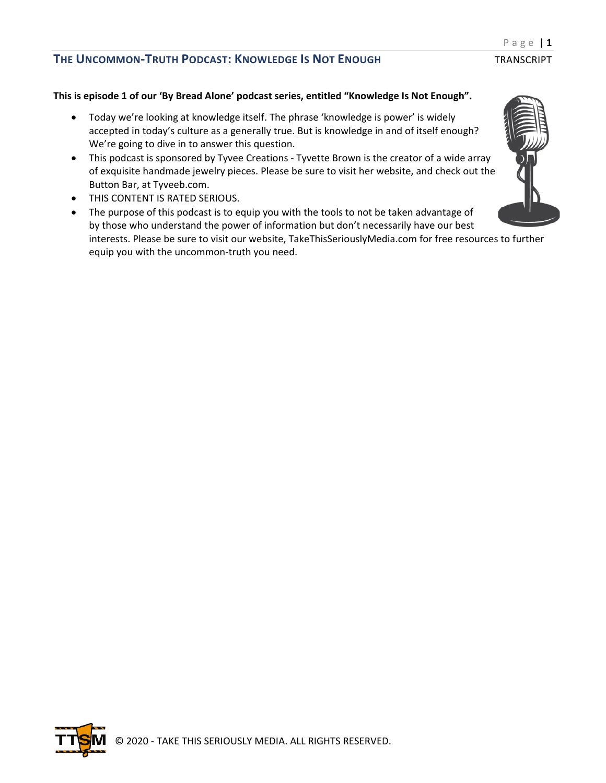### **This is episode 1 of our 'By Bread Alone' podcast series, entitled "Knowledge Is Not Enough".**

- Today we're looking at knowledge itself. The phrase 'knowledge is power' is widely accepted in today's culture as a generally true. But is knowledge in and of itself enough? We're going to dive in to answer this question.
- This podcast is sponsored by Tyvee Creations Tyvette Brown is the creator of a wide array of exquisite handmade jewelry pieces. Please be sure to visit her website, and check out the Button Bar, at Tyveeb.com.
- THIS CONTENT IS RATED SERIOUS.
- The purpose of this podcast is to equip you with the tools to not be taken advantage of by those who understand the power of information but don't necessarily have our best interests. Please be sure to visit our website, TakeThisSeriouslyMedia.com for free resources to further equip you with the uncommon-truth you need.



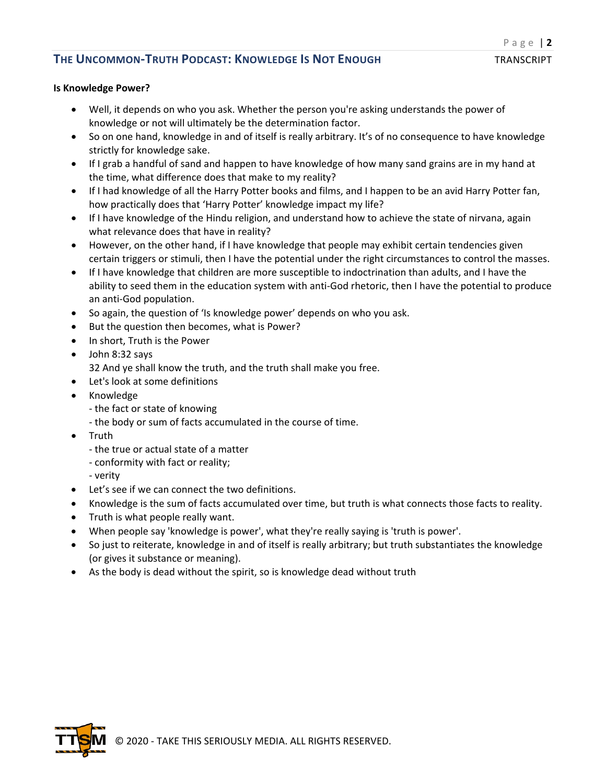#### **Is Knowledge Power?**

- Well, it depends on who you ask. Whether the person you're asking understands the power of knowledge or not will ultimately be the determination factor.
- So on one hand, knowledge in and of itself is really arbitrary. It's of no consequence to have knowledge strictly for knowledge sake.
- If I grab a handful of sand and happen to have knowledge of how many sand grains are in my hand at the time, what difference does that make to my reality?
- If I had knowledge of all the Harry Potter books and films, and I happen to be an avid Harry Potter fan, how practically does that 'Harry Potter' knowledge impact my life?
- If I have knowledge of the Hindu religion, and understand how to achieve the state of nirvana, again what relevance does that have in reality?
- However, on the other hand, if I have knowledge that people may exhibit certain tendencies given certain triggers or stimuli, then I have the potential under the right circumstances to control the masses.
- If I have knowledge that children are more susceptible to indoctrination than adults, and I have the ability to seed them in the education system with anti-God rhetoric, then I have the potential to produce an anti-God population.
- So again, the question of 'Is knowledge power' depends on who you ask.
- But the question then becomes, what is Power?
- In short, Truth is the Power
- John 8:32 says 32 And ye shall know the truth, and the truth shall make you free.
- Let's look at some definitions
- Knowledge
	- the fact or state of knowing
	- the body or sum of facts accumulated in the course of time.
- Truth
	- the true or actual state of a matter
	- conformity with fact or reality;
	- verity
- Let's see if we can connect the two definitions.
- Knowledge is the sum of facts accumulated over time, but truth is what connects those facts to reality.
- Truth is what people really want.
- When people say 'knowledge is power', what they're really saying is 'truth is power'.
- So just to reiterate, knowledge in and of itself is really arbitrary; but truth substantiates the knowledge (or gives it substance or meaning).
- As the body is dead without the spirit, so is knowledge dead without truth

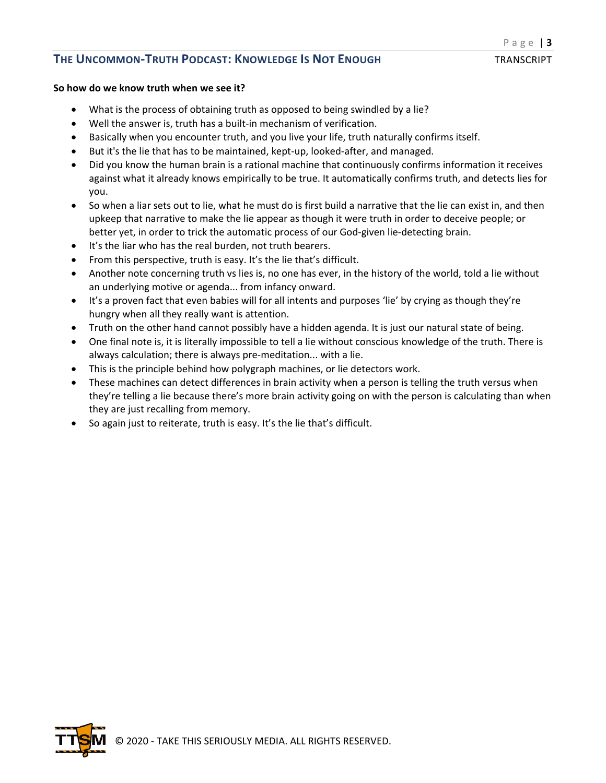#### **So how do we know truth when we see it?**

- What is the process of obtaining truth as opposed to being swindled by a lie?
- Well the answer is, truth has a built-in mechanism of verification.
- Basically when you encounter truth, and you live your life, truth naturally confirms itself.
- But it's the lie that has to be maintained, kept-up, looked-after, and managed.
- Did you know the human brain is a rational machine that continuously confirms information it receives against what it already knows empirically to be true. It automatically confirms truth, and detects lies for you.
- So when a liar sets out to lie, what he must do is first build a narrative that the lie can exist in, and then upkeep that narrative to make the lie appear as though it were truth in order to deceive people; or better yet, in order to trick the automatic process of our God-given lie-detecting brain.
- It's the liar who has the real burden, not truth bearers.
- From this perspective, truth is easy. It's the lie that's difficult.
- Another note concerning truth vs lies is, no one has ever, in the history of the world, told a lie without an underlying motive or agenda... from infancy onward.
- It's a proven fact that even babies will for all intents and purposes 'lie' by crying as though they're hungry when all they really want is attention.
- Truth on the other hand cannot possibly have a hidden agenda. It is just our natural state of being.
- One final note is, it is literally impossible to tell a lie without conscious knowledge of the truth. There is always calculation; there is always pre-meditation... with a lie.
- This is the principle behind how polygraph machines, or lie detectors work.
- These machines can detect differences in brain activity when a person is telling the truth versus when they're telling a lie because there's more brain activity going on with the person is calculating than when they are just recalling from memory.
- So again just to reiterate, truth is easy. It's the lie that's difficult.

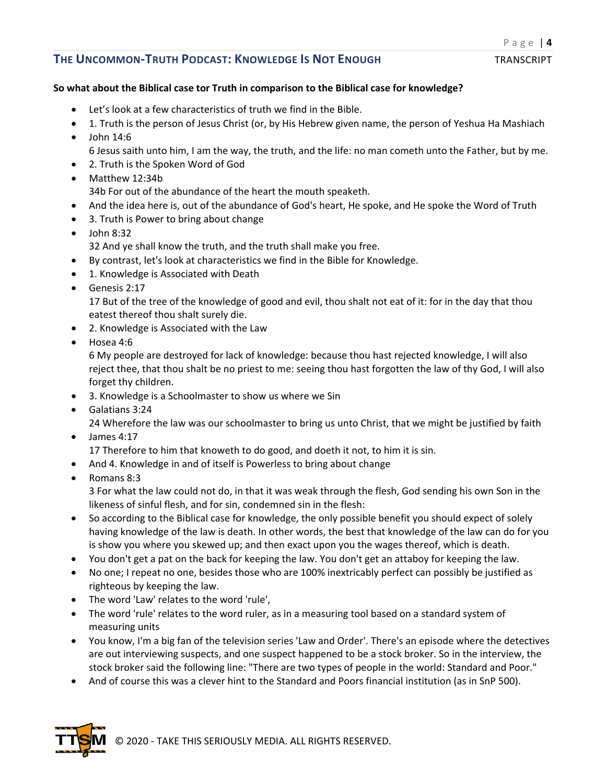## **So what about the Biblical case tor Truth in comparison to the Biblical case for knowledge?**

- Let's look at a few characteristics of truth we find in the Bible.
- 1. Truth is the person of Jesus Christ (or, by His Hebrew given name, the person of Yeshua Ha Mashiach  $\bullet$  John 14:6
- 6 Jesus saith unto him, I am the way, the truth, and the life: no man cometh unto the Father, but by me.
- 2. Truth is the Spoken Word of God
- Matthew 12:34b 34b For out of the abundance of the heart the mouth speaketh.
- And the idea here is, out of the abundance of God's heart, He spoke, and He spoke the Word of Truth
- 3. Truth is Power to bring about change
- $\bullet$  John 8:32 32 And ye shall know the truth, and the truth shall make you free.
- By contrast, let's look at characteristics we find in the Bible for Knowledge.
- 1. Knowledge is Associated with Death
- Genesis 2:17

17 But of the tree of the knowledge of good and evil, thou shalt not eat of it: for in the day that thou eatest thereof thou shalt surely die.

- 2. Knowledge is Associated with the Law
- Hosea 4:6

6 My people are destroyed for lack of knowledge: because thou hast rejected knowledge, I will also reject thee, that thou shalt be no priest to me: seeing thou hast forgotten the law of thy God, I will also forget thy children.

- 3. Knowledge is a Schoolmaster to show us where we Sin
- Galatians 3:24

24 Wherefore the law was our schoolmaster to bring us unto Christ, that we might be justified by faith • James 4:17

17 Therefore to him that knoweth to do good, and doeth it not, to him it is sin.

- And 4. Knowledge in and of itself is Powerless to bring about change
- Romans 8:3

3 For what the law could not do, in that it was weak through the flesh, God sending his own Son in the likeness of sinful flesh, and for sin, condemned sin in the flesh:

- So according to the Biblical case for knowledge, the only possible benefit you should expect of solely having knowledge of the law is death. In other words, the best that knowledge of the law can do for you is show you where you skewed up; and then exact upon you the wages thereof, which is death.
- You don't get a pat on the back for keeping the law. You don't get an attaboy for keeping the law.
- No one; I repeat no one, besides those who are 100% inextricably perfect can possibly be justified as righteous by keeping the law.
- The word 'Law' relates to the word 'rule',
- The word 'rule' relates to the word ruler, as in a measuring tool based on a standard system of measuring units
- You know, I'm a big fan of the television series 'Law and Order'. There's an episode where the detectives are out interviewing suspects, and one suspect happened to be a stock broker. So in the interview, the stock broker said the following line: "There are two types of people in the world: Standard and Poor."
- And of course this was a clever hint to the Standard and Poors financial institution (as in SnP 500).

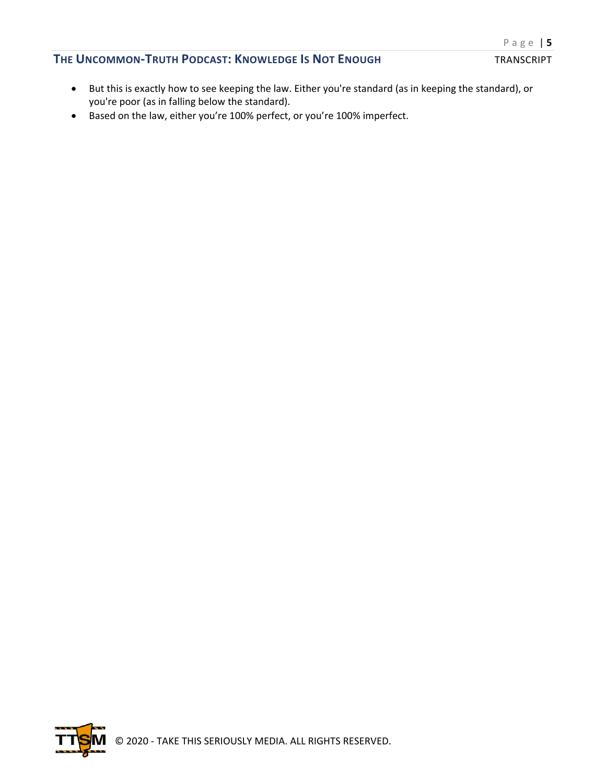- But this is exactly how to see keeping the law. Either you're standard (as in keeping the standard), or you're poor (as in falling below the standard).
- Based on the law, either you're 100% perfect, or you're 100% imperfect.

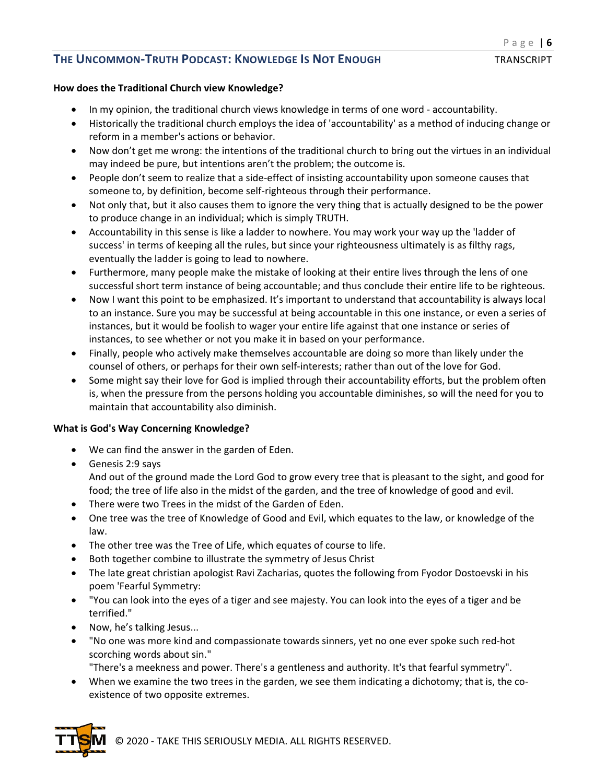## **How does the Traditional Church view Knowledge?**

- In my opinion, the traditional church views knowledge in terms of one word accountability.
- Historically the traditional church employs the idea of 'accountability' as a method of inducing change or reform in a member's actions or behavior.
- Now don't get me wrong: the intentions of the traditional church to bring out the virtues in an individual may indeed be pure, but intentions aren't the problem; the outcome is.
- People don't seem to realize that a side-effect of insisting accountability upon someone causes that someone to, by definition, become self-righteous through their performance.
- Not only that, but it also causes them to ignore the very thing that is actually designed to be the power to produce change in an individual; which is simply TRUTH.
- Accountability in this sense is like a ladder to nowhere. You may work your way up the 'ladder of success' in terms of keeping all the rules, but since your righteousness ultimately is as filthy rags, eventually the ladder is going to lead to nowhere.
- Furthermore, many people make the mistake of looking at their entire lives through the lens of one successful short term instance of being accountable; and thus conclude their entire life to be righteous.
- Now I want this point to be emphasized. It's important to understand that accountability is always local to an instance. Sure you may be successful at being accountable in this one instance, or even a series of instances, but it would be foolish to wager your entire life against that one instance or series of instances, to see whether or not you make it in based on your performance.
- Finally, people who actively make themselves accountable are doing so more than likely under the counsel of others, or perhaps for their own self-interests; rather than out of the love for God.
- Some might say their love for God is implied through their accountability efforts, but the problem often is, when the pressure from the persons holding you accountable diminishes, so will the need for you to maintain that accountability also diminish.

## **What is God's Way Concerning Knowledge?**

- We can find the answer in the garden of Eden.
- Genesis 2:9 says And out of the ground made the Lord God to grow every tree that is pleasant to the sight, and good for food; the tree of life also in the midst of the garden, and the tree of knowledge of good and evil.
- There were two Trees in the midst of the Garden of Eden.
- One tree was the tree of Knowledge of Good and Evil, which equates to the law, or knowledge of the law.
- The other tree was the Tree of Life, which equates of course to life.
- Both together combine to illustrate the symmetry of Jesus Christ
- The late great christian apologist Ravi Zacharias, quotes the following from Fyodor Dostoevski in his poem 'Fearful Symmetry:
- "You can look into the eyes of a tiger and see majesty. You can look into the eyes of a tiger and be terrified."
- Now, he's talking Jesus...
- "No one was more kind and compassionate towards sinners, yet no one ever spoke such red-hot scorching words about sin."

"There's a meekness and power. There's a gentleness and authority. It's that fearful symmetry".

• When we examine the two trees in the garden, we see them indicating a dichotomy; that is, the coexistence of two opposite extremes.



© 2020 - TAKE THIS SERIOUSLY MEDIA. ALL RIGHTS RESERVED.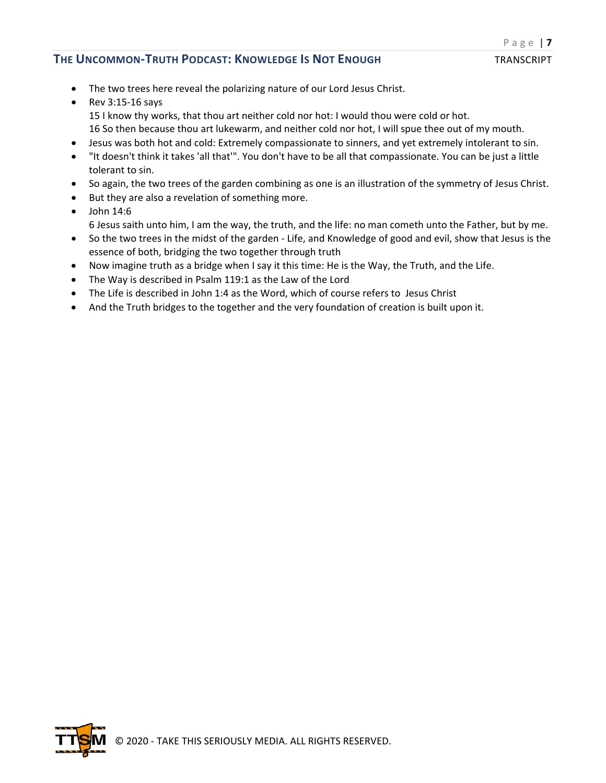- The two trees here reveal the polarizing nature of our Lord Jesus Christ.
- Rev 3:15-16 says 15 I know thy works, that thou art neither cold nor hot: I would thou were cold or hot. 16 So then because thou art lukewarm, and neither cold nor hot, I will spue thee out of my mouth.
- Jesus was both hot and cold: Extremely compassionate to sinners, and yet extremely intolerant to sin.
- "It doesn't think it takes 'all that'". You don't have to be all that compassionate. You can be just a little tolerant to sin.
- So again, the two trees of the garden combining as one is an illustration of the symmetry of Jesus Christ.
- But they are also a revelation of something more.
- $\bullet$  John 14:6 6 Jesus saith unto him, I am the way, the truth, and the life: no man cometh unto the Father, but by me.
- So the two trees in the midst of the garden Life, and Knowledge of good and evil, show that Jesus is the essence of both, bridging the two together through truth
- Now imagine truth as a bridge when I say it this time: He is the Way, the Truth, and the Life.
- The Way is described in Psalm 119:1 as the Law of the Lord
- The Life is described in John 1:4 as the Word, which of course refers to Jesus Christ
- And the Truth bridges to the together and the very foundation of creation is built upon it.